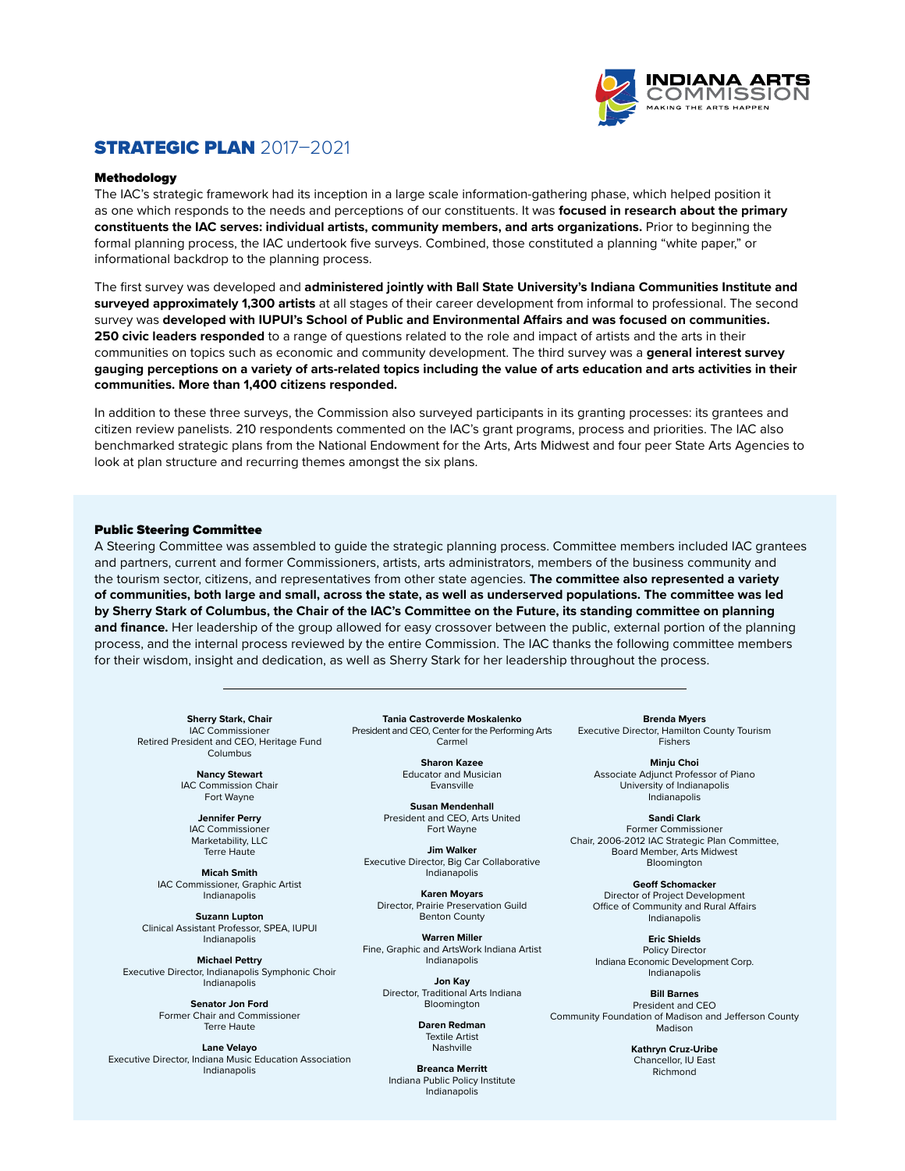

# STRATEGIC PLAN 2017–2021

#### Methodology

The IAC's strategic framework had its inception in a large scale information-gathering phase, which helped position it as one which responds to the needs and perceptions of our constituents. It was **focused in research about the primary constituents the IAC serves: individual artists, community members, and arts organizations.** Prior to beginning the formal planning process, the IAC undertook five surveys. Combined, those constituted a planning "white paper," or informational backdrop to the planning process.

The first survey was developed and **administered jointly with Ball State University's Indiana Communities Institute and surveyed approximately 1,300 artists** at all stages of their career development from informal to professional. The second survey was **developed with IUPUI's School of Public and Environmental Affairs and was focused on communities. 250 civic leaders responded** to a range of questions related to the role and impact of artists and the arts in their communities on topics such as economic and community development. The third survey was a **general interest survey gauging perceptions on a variety of arts-related topics including the value of arts education and arts activities in their communities. More than 1,400 citizens responded.**

In addition to these three surveys, the Commission also surveyed participants in its granting processes: its grantees and citizen review panelists. 210 respondents commented on the IAC's grant programs, process and priorities. The IAC also benchmarked strategic plans from the National Endowment for the Arts, Arts Midwest and four peer State Arts Agencies to look at plan structure and recurring themes amongst the six plans.

#### Public Steering Committee

A Steering Committee was assembled to guide the strategic planning process. Committee members included IAC grantees and partners, current and former Commissioners, artists, arts administrators, members of the business community and the tourism sector, citizens, and representatives from other state agencies. **The committee also represented a variety of communities, both large and small, across the state, as well as underserved populations. The committee was led by Sherry Stark of Columbus, the Chair of the IAC's Committee on the Future, its standing committee on planning and finance.** Her leadership of the group allowed for easy crossover between the public, external portion of the planning process, and the internal process reviewed by the entire Commission. The IAC thanks the following committee members for their wisdom, insight and dedication, as well as Sherry Stark for her leadership throughout the process.

**Sherry Stark, Chair** IAC Commissioner Retired President and CEO, Heritage Fund Columbus

> **Nancy Stewart** IAC Commission Chair Fort Wayne

**Jennifer Perry** IAC Commissioner Marketability, LLC Terre Haute

**Micah Smith** IAC Commissioner, Graphic Artist Indianapolis

**Suzann Lupton** Clinical Assistant Professor, SPEA, IUPUI Indianapolis

**Michael Pettry** Executive Director, Indianapolis Symphonic Choir Indianapolis

> **Senator Jon Ford** Former Chair and Commissioner Terre Haute

**Lane Velayo** Executive Director, Indiana Music Education Association Indianapolis

**Tania Castroverde Moskalenko** President and CEO, Center for the Performing Arts Carmel

> **Sharon Kazee** Educator and Musician Evansville

**Susan Mendenhall** President and CEO, Arts United Fort Wayne

**Jim Walker** Executive Director, Big Car Collaborative Indianapolis

**Karen Moyars** Director, Prairie Preservation Guild Benton County

**Warren Miller** Fine, Graphic and ArtsWork Indiana Artist Indianapolis

> **Jon Kay** Director, Traditional Arts Indiana Bloomington

> > **Daren Redman** Textile Artist Nashville

**Breanca Merritt** Indiana Public Policy Institute Indianapolis

**Brenda Myers** Executive Director, Hamilton County Tourism Fishers

**Minju Choi** Associate Adjunct Professor of Piano University of Indianapolis Indianapolis

**Sandi Clark** Former Commissioner Chair, 2006-2012 IAC Strategic Plan Committee, Board Member, Arts Midwest **Bloomington** 

> **Geoff Schomacker** Director of Project Development Office of Community and Rural Affairs Indianapolis

**Eric Shields** Policy Director Indiana Economic Development Corp. Indianapolis

**Bill Barnes** President and CEO Community Foundation of Madison and Jefferson County Madison

> **Kathryn Cruz-Uribe** Chancellor, IU East Richmond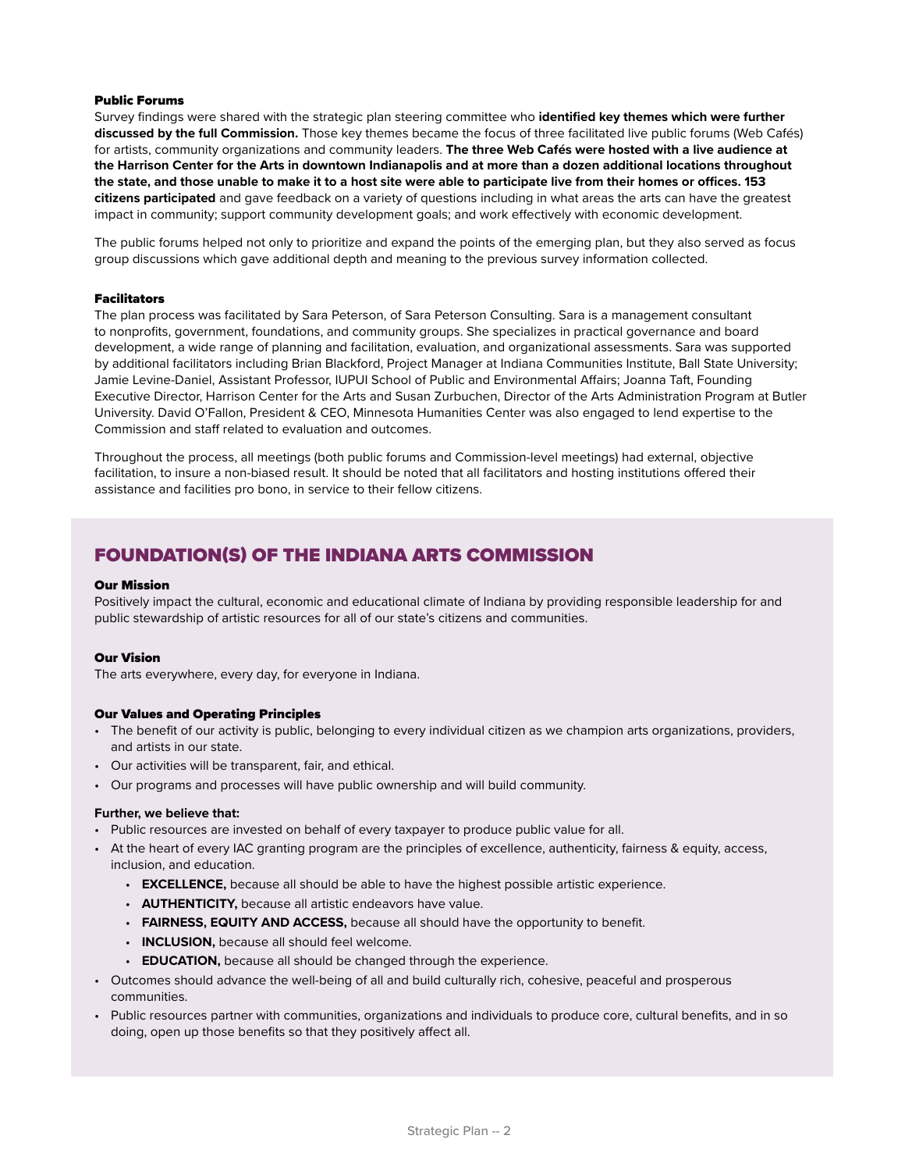### Public Forums

Survey findings were shared with the strategic plan steering committee who **identified key themes which were further discussed by the full Commission.** Those key themes became the focus of three facilitated live public forums (Web Cafés) for artists, community organizations and community leaders. **The three Web Cafés were hosted with a live audience at the Harrison Center for the Arts in downtown Indianapolis and at more than a dozen additional locations throughout the state, and those unable to make it to a host site were able to participate live from their homes or offices. 153 citizens participated** and gave feedback on a variety of questions including in what areas the arts can have the greatest impact in community; support community development goals; and work effectively with economic development.

The public forums helped not only to prioritize and expand the points of the emerging plan, but they also served as focus group discussions which gave additional depth and meaning to the previous survey information collected.

### Facilitators

The plan process was facilitated by Sara Peterson, of Sara Peterson Consulting. Sara is a management consultant to nonprofits, government, foundations, and community groups. She specializes in practical governance and board development, a wide range of planning and facilitation, evaluation, and organizational assessments. Sara was supported by additional facilitators including Brian Blackford, Project Manager at Indiana Communities Institute, Ball State University; Jamie Levine-Daniel, Assistant Professor, IUPUI School of Public and Environmental Affairs; Joanna Taft, Founding Executive Director, Harrison Center for the Arts and Susan Zurbuchen, Director of the Arts Administration Program at Butler University. David O'Fallon, President & CEO, Minnesota Humanities Center was also engaged to lend expertise to the Commission and staff related to evaluation and outcomes.

Throughout the process, all meetings (both public forums and Commission-level meetings) had external, objective facilitation, to insure a non-biased result. It should be noted that all facilitators and hosting institutions offered their assistance and facilities pro bono, in service to their fellow citizens.

# FOUNDATION(S) OF THE INDIANA ARTS COMMISSION

#### Our Mission

Positively impact the cultural, economic and educational climate of Indiana by providing responsible leadership for and public stewardship of artistic resources for all of our state's citizens and communities.

### Our Vision

The arts everywhere, every day, for everyone in Indiana.

### Our Values and Operating Principles

- The benefit of our activity is public, belonging to every individual citizen as we champion arts organizations, providers, and artists in our state.
- Our activities will be transparent, fair, and ethical.
- Our programs and processes will have public ownership and will build community.

### **Further, we believe that:**

- Public resources are invested on behalf of every taxpayer to produce public value for all.
- At the heart of every IAC granting program are the principles of excellence, authenticity, fairness & equity, access, inclusion, and education.
	- **EXCELLENCE,** because all should be able to have the highest possible artistic experience.
	- **AUTHENTICITY,** because all artistic endeavors have value.
	- **FAIRNESS, EQUITY AND ACCESS,** because all should have the opportunity to benefit.
	- **INCLUSION,** because all should feel welcome.
	- **EDUCATION,** because all should be changed through the experience.
- Outcomes should advance the well-being of all and build culturally rich, cohesive, peaceful and prosperous communities.
- Public resources partner with communities, organizations and individuals to produce core, cultural benefits, and in so doing, open up those benefits so that they positively affect all.